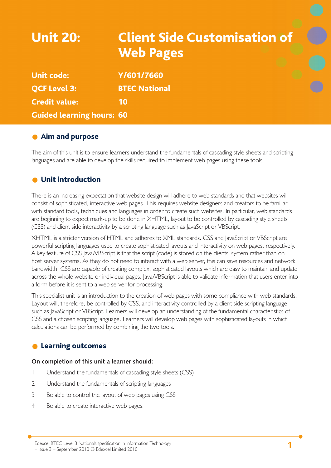# Unit 20: Client Side Customisation of Web Pages

| <b>Unit code:</b>                | Y/601/7660           |
|----------------------------------|----------------------|
| <b>OCF Level 3:</b>              | <b>BTEC National</b> |
| <b>Credit value:</b>             | 10                   |
| <b>Guided learning hours: 60</b> |                      |

### **Aim and purpose**

The aim of this unit is to ensure learners understand the fundamentals of cascading style sheets and scripting languages and are able to develop the skills required to implement web pages using these tools.

### Unit introduction

There is an increasing expectation that website design will adhere to web standards and that websites will consist of sophisticated, interactive web pages. This requires website designers and creators to be familiar with standard tools, techniques and languages in order to create such websites. In particular, web standards are beginning to expect mark-up to be done in XHTML, layout to be controlled by cascading style sheets (CSS) and client side interactivity by a scripting language such as JavaScript or VBScript.

XHTML is a stricter version of HTML and adheres to XML standards. CSS and JavaScript or VBScript are powerful scripting languages used to create sophisticated layouts and interactivity on web pages, respectively. A key feature of CSS Java/VBScript is that the script (code) is stored on the clients' system rather than on host server systems. As they do not need to interact with a web server, this can save resources and network bandwidth. CSS are capable of creating complex, sophisticated layouts which are easy to maintain and update across the whole website or individual pages. Java/VBScript is able to validate information that users enter into a form before it is sent to a web server for processing.

This specialist unit is an introduction to the creation of web pages with some compliance with web standards. Layout will, therefore, be controlled by CSS, and interactivity controlled by a client side scripting language such as JavaScript or VBScript. Learners will develop an understanding of the fundamental characteristics of CSS and a chosen scripting language. Learners will develop web pages with sophisticated layouts in which calculations can be performed by combining the two tools.

### **C** Learning outcomes

#### **On completion of this unit a learner should:**

- 1 Understand the fundamentals of cascading style sheets (CSS)
- 2 Understand the fundamentals of scripting languages
- 3 Be able to control the layout of web pages using CSS
- 4 Be able to create interactive web pages.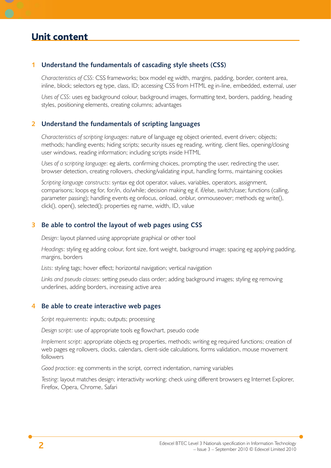#### **1 Understand the fundamentals of cascading style sheets (CSS)**

*Characteristics of CSS*: CSS frameworks; box model eg width, margins, padding, border, content area, inline, block; selectors eg type, class, ID; accessing CSS from HTML eg in-line, embedded, external, user

*Uses of CSS*: uses eg background colour, background images, formatting text, borders, padding, heading styles, positioning elements, creating columns; advantages

#### **2 Understand the fundamentals of scripting languages**

*Characteristics of scripting languages*: nature of language eg object oriented, event driven; objects; methods; handling events; hiding scripts; security issues eg reading, writing, client files, opening/closing user windows, reading information; including scripts inside HTML

*Uses of a scripting language*: eg alerts, confirming choices, prompting the user, redirecting the user, browser detection, creating rollovers, checking/validating input, handling forms, maintaining cookies

*Scripting language constructs*: syntax eg dot operator, values, variables, operators, assignment, comparisons; loops eg for, for/in, do/while; decision making eg if, if/else, switch/case; functions (calling, parameter passing); handling events eg onfocus, onload, onblur, onmouseover; methods eg write(), click(), open(), selected(); properties eg name, width, ID, value

#### **3 Be able to control the layout of web pages using CSS**

*Design*: layout planned using appropriate graphical or other tool

*Headings*: styling eg adding colour, font size, font weight, background image; spacing eg applying padding, margins, borders

*Lists*: styling tags; hover effect; horizontal navigation; vertical navigation

*Links and pseudo classes*: setting pseudo class order; adding background images; styling eg removing underlines, adding borders, increasing active area

#### **4 Be able to create interactive web pages**

*Script requirements*: inputs; outputs; processing

*Design script*: use of appropriate tools eg flowchart, pseudo code

*Implement script*: appropriate objects eg properties, methods; writing eg required functions; creation of web pages eg rollovers, clocks, calendars, client-side calculations, forms validation, mouse movement followers

*Good practice*: eg comments in the script, correct indentation, naming variables

*Testing*: layout matches design; interactivity working; check using different browsers eg Internet Explorer, Firefox, Opera, Chrome, Safari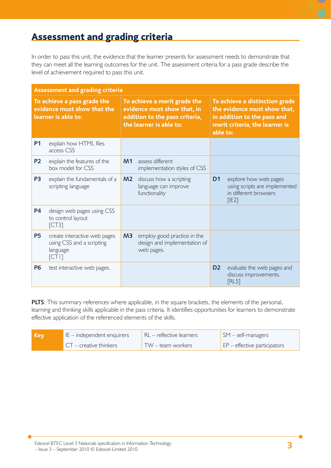## Assessment and grading criteria

In order to pass this unit, the evidence that the learner presents for assessment needs to demonstrate that they can meet all the learning outcomes for the unit. The assessment criteria for a pass grade describe the level of achievement required to pass this unit.

| <b>Assessment and grading criteria</b> |                                                                                   |                |                                                                                                                          |                |                                                                                                                                             |  |
|----------------------------------------|-----------------------------------------------------------------------------------|----------------|--------------------------------------------------------------------------------------------------------------------------|----------------|---------------------------------------------------------------------------------------------------------------------------------------------|--|
|                                        | To achieve a pass grade the<br>evidence must show that the<br>learner is able to: |                | To achieve a merit grade the<br>evidence must show that, in<br>addition to the pass criteria,<br>the learner is able to: |                | To achieve a distinction grade<br>the evidence must show that,<br>in addition to the pass and<br>merit criteria, the learner is<br>able to: |  |
| <b>P1</b>                              | explain how HTML files<br>access CSS                                              |                |                                                                                                                          |                |                                                                                                                                             |  |
| <b>P2</b>                              | explain the features of the<br>box model for CSS                                  | M <sub>1</sub> | assess different<br>implementation styles of CSS                                                                         |                |                                                                                                                                             |  |
| P <sub>3</sub>                         | explain the fundamentals of a<br>scripting language                               | M <sub>2</sub> | discuss how a scripting<br>language can improve<br>functionality                                                         | D <sub>1</sub> | explore how web pages<br>using scripts are implemented<br>in different browsers<br>[IE2]                                                    |  |
| <b>P4</b>                              | design web pages using CSS<br>to control layout<br>[CT3]                          |                |                                                                                                                          |                |                                                                                                                                             |  |
| <b>P5</b>                              | create interactive web pages<br>using CSS and a scripting<br>language<br>[CT1]    | M <sub>3</sub> | employ good practice in the<br>design and implementation of<br>web pages.                                                |                |                                                                                                                                             |  |
| <b>P6</b>                              | test interactive web pages.                                                       |                |                                                                                                                          | D <sub>2</sub> | evaluate the web pages and<br>discuss improvements.<br>[RL5]                                                                                |  |

**PLTS**: This summary references where applicable, in the square brackets, the elements of the personal, learning and thinking skills applicable in the pass criteria. It identifies opportunities for learners to demonstrate effective application of the referenced elements of the skills.

| [ Key | $IE$ – independent enquirers | $RL$ – reflective learners | $\mathsf{SM}$ – self-managers                       |
|-------|------------------------------|----------------------------|-----------------------------------------------------|
|       | $CT -$ creative thinkers     | TW – team workers          | $\mathsf{E}$ $\mathsf{P}$ – effective participators |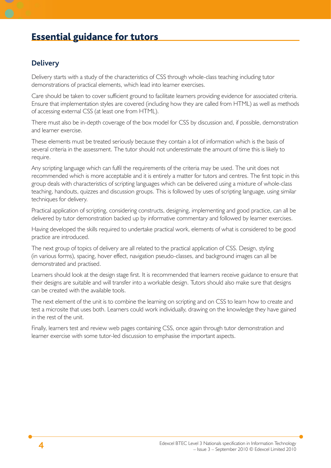## Essential guidance for tutors

### **Delivery**

Delivery starts with a study of the characteristics of CSS through whole-class teaching including tutor demonstrations of practical elements, which lead into learner exercises.

Care should be taken to cover sufficient ground to facilitate learners providing evidence for associated criteria. Ensure that implementation styles are covered (including how they are called from HTML) as well as methods of accessing external CSS (at least one from HTML).

There must also be in-depth coverage of the box model for CSS by discussion and, if possible, demonstration and learner exercise.

These elements must be treated seriously because they contain a lot of information which is the basis of several criteria in the assessment. The tutor should not underestimate the amount of time this is likely to require.

Any scripting language which can fulfil the requirements of the criteria may be used. The unit does not recommended which is more acceptable and it is entirely a matter for tutors and centres. The first topic in this group deals with characteristics of scripting languages which can be delivered using a mixture of whole-class teaching, handouts, quizzes and discussion groups. This is followed by uses of scripting language, using similar techniques for delivery.

Practical application of scripting, considering constructs, designing, implementing and good practice, can all be delivered by tutor demonstration backed up by informative commentary and followed by learner exercises.

Having developed the skills required to undertake practical work, elements of what is considered to be good practice are introduced.

The next group of topics of delivery are all related to the practical application of CSS. Design, styling (in various forms), spacing, hover effect, navigation pseudo-classes, and background images can all be demonstrated and practised.

Learners should look at the design stage first. It is recommended that learners receive guidance to ensure that their designs are suitable and will transfer into a workable design. Tutors should also make sure that designs can be created with the available tools.

The next element of the unit is to combine the learning on scripting and on CSS to learn how to create and test a microsite that uses both. Learners could work individually, drawing on the knowledge they have gained in the rest of the unit.

Finally, learners test and review web pages containing CSS, once again through tutor demonstration and learner exercise with some tutor-led discussion to emphasise the important aspects.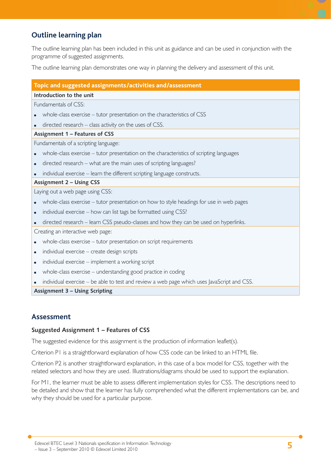### **Outline learning plan**

The outline learning plan has been included in this unit as guidance and can be used in conjunction with the programme of suggested assignments.

The outline learning plan demonstrates one way in planning the delivery and assessment of this unit.

#### **Topic and suggested assignments/activities and/assessment**

#### **Introduction to the unit**

Fundamentals of CSS:

- whole-class exercise tutor presentation on the characteristics of CSS
- directed research class activity on the uses of CSS.

#### **Assignment 1 – Features of CSS**

Fundamentals of a scripting language:

- whole-class exercise tutor presentation on the characteristics of scripting languages
- directed research what are the main uses of scripting languages?
- individual exercise learn the different scripting language constructs.

#### **Assignment 2 – Using CSS**

Laying out a web page using CSS:

- whole-class exercise tutor presentation on how to style headings for use in web pages
- individual exercise how can list tags be formatted using CSS?
- directed research learn CSS pseudo-classes and how they can be used on hyperlinks.

Creating an interactive web page:

- whole-class exercise tutor presentation on script requirements
- individual exercise create design scripts
- individual exercise implement a working script
- whole-class exercise understanding good practice in coding
- individual exercise be able to test and review a web page which uses JavaScript and CSS. ●

**Assignment 3 – Using Scripting**

### **Assessment**

#### **Suggested Assignment 1 – Features of CSS**

The suggested evidence for this assignment is the production of information leaflet(s).

Criterion P1 is a straightforward explanation of how CSS code can be linked to an HTML file.

Criterion P2 is another straightforward explanation, in this case of a box model for CSS, together with the related selectors and how they are used. Illustrations/diagrams should be used to support the explanation.

For M1, the learner must be able to assess different implementation styles for CSS. The descriptions need to be detailed and show that the learner has fully comprehended what the different implementations can be, and why they should be used for a particular purpose.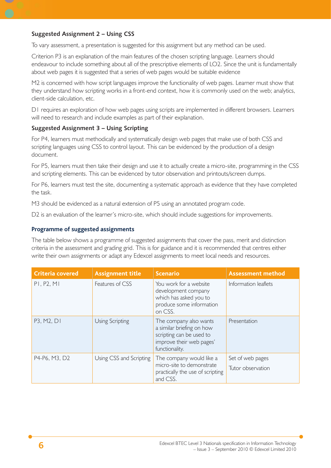#### **Suggested Assignment 2 – Using CSS**

To vary assessment, a presentation is suggested for this assignment but any method can be used.

Criterion P3 is an explanation of the main features of the chosen scripting language. Learners should endeavour to include something about all of the prescriptive elements of LO2. Since the unit is fundamentally about web pages it is suggested that a series of web pages would be suitable evidence

M2 is concerned with how script languages improve the functionality of web pages. Learner must show that they understand how scripting works in a front-end context, how it is commonly used on the web; analytics, client-side calculation, etc.

D1 requires an exploration of how web pages using scripts are implemented in different browsers. Learners will need to research and include examples as part of their explanation.

#### **Suggested Assignment 3 – Using Scripting**

For P4, learners must methodically and systematically design web pages that make use of both CSS and scripting languages using CSS to control layout. This can be evidenced by the production of a design document.

For P5, learners must then take their design and use it to actually create a micro-site, programming in the CSS and scripting elements. This can be evidenced by tutor observation and printouts/screen dumps.

For P6, learners must test the site, documenting a systematic approach as evidence that they have completed the task.

M3 should be evidenced as a natural extension of P5 using an annotated program code.

D2 is an evaluation of the learner's micro-site, which should include suggestions for improvements.

#### **Programme of suggested assignments**

The table below shows a programme of suggested assignments that cover the pass, merit and distinction criteria in the assessment and grading grid. This is for guidance and it is recommended that centres either write their own assignments or adapt any Edexcel assignments to meet local needs and resources.

| <b>Criteria covered</b> | <b>Assignment title</b> | <b>Scenario</b>                                                                                                               | <b>Assessment method</b>              |
|-------------------------|-------------------------|-------------------------------------------------------------------------------------------------------------------------------|---------------------------------------|
| P1, P2, M1              | Features of CSS         | You work for a website<br>development company<br>which has asked you to<br>produce some information<br>on CSS.                | Information leaflets                  |
| P3, M2, D1              | Using Scripting         | The company also wants<br>a similar briefing on how<br>scripting can be used to<br>improve their web pages'<br>functionality. | Presentation                          |
| P4-P6, M3, D2           | Using CSS and Scripting | The company would like a<br>micro-site to demonstrate<br>practically the use of scripting<br>and CSS.                         | Set of web pages<br>Tutor observation |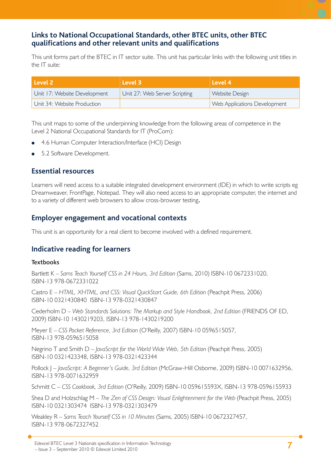### **Links to National Occupational Standards, other BTEC units, other BTEC qualifi cations and other relevant units and qualifi cations**

This unit forms part of the BTEC in IT sector suite. This unit has particular links with the following unit titles in the IT suite:

| l Level 2 <b>1</b>           | Level 3                       | Level 4                             |
|------------------------------|-------------------------------|-------------------------------------|
| Unit 17: Website Development | Unit 27: Web Server Scripting | Website Design                      |
| Unit 34: Website Production  |                               | <b>Web Applications Development</b> |

This unit maps to some of the underpinning knowledge from the following areas of competence in the Level 2 National Occupational Standards for IT (ProCom):

- 4.6 Human Computer Interaction/Interface (HCI) Design ●
- 5.2 Software Development. ●

### **Essential resources**

Learners will need access to a suitable integrated development environment (IDE) in which to write scripts eg Dreamweaver, FrontPage, Notepad. They will also need access to an appropriate computer, the internet and to a variety of different web browsers to allow cross-browser testing.

### **Employer engagement and vocational contexts**

This unit is an opportunity for a real client to become involved with a defined requirement.

### **Indicative reading for learners**

#### **Textbooks**

Bartlett K – *Sams Teach Yourself CSS in 24 Hours, 3rd Edition* (Sams, 2010) ISBN-10 0672331020, ISBN-13 978-0672331022

Castro E - HTML, XHTML, and CSS: Visual QuickStart Guide, 6th Edition (Peachpit Press, 2006) ISBN-10 0321430840 ISBN-13 978-0321430847

Cederholm D – *Web Standards Solutions: The Markup and Style Handbook, 2nd Edition* (FRIENDS OF ED, 2009) ISBN-10 1430219203, ISBN-13 978-1430219200

Meyer E – *CSS Pocket Reference, 3rd Edition* (O'Reilly, 2007) ISBN-10 0596515057, ISBN-13 978-0596515058

Negrino T and Smith D – *JavaScript for the World Wide Web*, 5th Edition (Peachpit Press, 2005) ISBN-10 0321423348, ISBN-13 978-0321423344

Pollock J – JavaScript: A Beginner's Guide, 3rd Edition (McGraw-Hill Osborne, 2009) ISBN-10 0071632956, ISBN-13 978-0071632959

Schmitt C – *CSS Cookbook, 3rd Edition* (O'Reilly, 2009) ISBN-10 059615593X, ISBN-13 978-0596155933

Shea D and Holzschlag M – The Zen of CSS Design: Visual Enlightenment for the Web (Peachpit Press, 2005) ISBN-10 0321303474 ISBN-13 978-0321303479

Weakley R – *Sams Teach Yourself CSS in 10 Minutes* (Sams, 2005) ISBN-10 0672327457, ISBN-13 978-0672327452

**<sup>7</sup>** Edexcel BTEC Level 3 Nationals specification in Information Technology – Issue 3 – September 2010 © Edexcel Limited 2010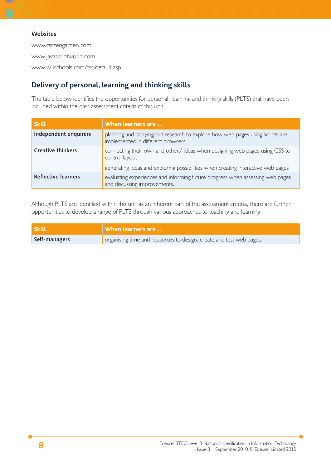#### **Websites**

www.csszengarden.com www.javascriptworld.com www.w3schools.com/css/default.asp

### **Delivery of personal, learning and thinking skills**

The table below identifies the opportunities for personal, learning and thinking skills (PLTS) that have been included within the pass assessment criteria of this unit.

| <b>Skill</b>               | When learners are                                                                                                  |
|----------------------------|--------------------------------------------------------------------------------------------------------------------|
| Independent enquirers      | planning and carrying out research to explore how web pages using scripts are<br>implemented in different browsers |
| <b>Creative thinkers</b>   | connecting their own and others' ideas when designing web pages using CSS to<br>control layout                     |
|                            | generating ideas and exploring possibilities when creating interactive web pages                                   |
| <b>Reflective learners</b> | evaluating experiences and informing future progress when assessing web pages<br>and discussing improvements.      |

Although PLTS are identified within this unit as an inherent part of the assessment criteria, there are further opportunities to develop a range of PLTS through various approaches to teaching and learning.

| <b>Skill</b>  | When learners are                                                   |
|---------------|---------------------------------------------------------------------|
| Self-managers | organising time and resources to design, create and test web pages. |